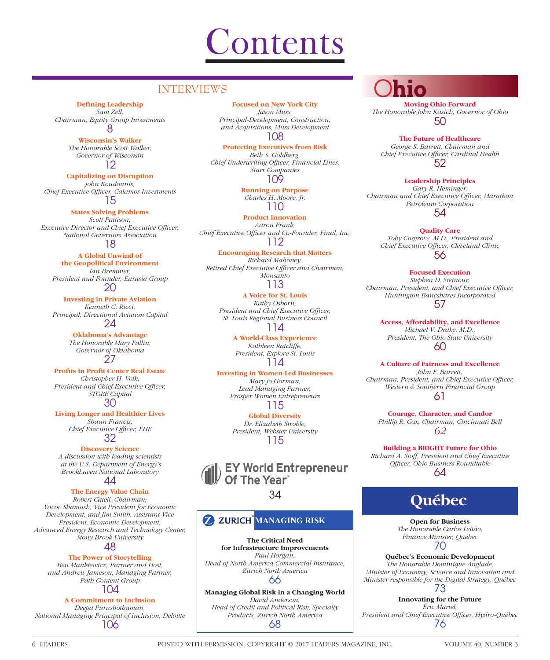# **Contents**

# INTERVIEWS

#### **Defining Leadership**

*Sam Zell, Chairman, Equity Group Investments* 8

#### **Wisconsin's Walker**

*The Honorable Scott Walker, Governor of Wisconsin* 12

#### **Capitalizing on Disruption**

*John Koudounis, Chief Executive Officer, Calamos Investments* 15

## **States Solving Problems**

*Scott Pattison, Executive Director and Chief Executive Officer, National Governors Association*

18

#### **A Global Unwind of**

**the Geopolitical Environment** *Ian Bremmer, President and Founder, Eurasia Group* 20

#### **Investing in Private Aviation**

*Kenneth C. Ricci, Principal, Directional Aviation Capital* 24

> **Oklahoma's Advantage** *The Honorable Mary Fallin, Governor of Oklahoma* 27

**Profits in Profit Center Real Estate** *Christopher H. Volk, President and Chief Executive Officer, STORE Capital* 30

#### **Living Longer and Healthier Lives** *Shaun Francis, Chief Executive Officer, EHE*

32

**Discovery Science** *A discussion with leading scientists at the U.S. Department of Energy's Brookhaven National Laboratory* 44

# **The Energy Value Chain**

*Robert Catell, Chairman; Yacov Shamash, Vice President for Economic Development; and Jim Smith, Assistant Vice President, Economic Development, Advanced Energy Research and Technology Center, Stony Brook University*

#### 48

#### **The Power of Storytelling**

*Ben Mankiewicz, Partner and Host, and Andrew Jameson, Managing Partner, Path Content Group* 104

#### **A Commitment to Inclusion**

*Deepa Purushothaman, National Managing Principal of Inclusion, Deloitte* 106

#### **Focused on New York City**

*Jason Muss, Principal-Development, Construction, and Acquisitions, Muss Development* 108

#### **Protecting Executives from Risk**

*Beth S. Goldberg,*  **Chief Underwriting Officer, Financial Lines,** *Starr Companies* 109

> **Running on Purpose** *Charles H. Moore, Jr.* 110

## **Product Innovation** *Aaron Frank,*

*Chief Executive Officer and Co-Founder, Final, Inc.* 112

# **Encouraging Research that Matters**

*Richard Mahoney, Retired Chief Executive Officer and Chairman, Monsanto* 113

#### **A Voice for St. Louis** *Kathy Osborn, President and Chief Executive Officer, St. Louis Regional Business Council* 114

**A World-Class Experience** *Kathleen Ratcliffe, President, Explore St. Louis* 114

#### **Investing in Women-Led Businesses** *Mary Jo Gorman, Lead Managing Partner, Prosper Women Entrepreneurs* 115

**Global Diversity** *Dr. Elizabeth Stroble, President, Webster University* 115

# EY World Entrepreneur<br>Of The Year

## 34

# **Z ZURICH MANAGING RISK**

**The Critical Need for Infrastructure Improvements** *Paul Horgan, Head of North America Commercial Insurance, Zurich North America* 66

**Managing Global Risk in a Changing World** *David Anderson, Head of Credit and Political Risk, Specialty Products, Zurich North America* 68

**Moving Ohio Forward** *The Honorable John Kasich, Governor of Ohio* 50

#### **The Future of Healthcare**

*George S. Barrett, Chairman and Chief Executive Offi cer, Cardinal Health* 52

#### **Leadership Principles** *Gary R. Heminger,*

*Chairman and Chief Executive Officer, Marathon Petroleum Corporation* 54

#### **Quality Care**

*Toby Cosgrove, M.D., President and*  **Chief Executive Officer, Cleveland Clinic** 56

# **Focused Execution**

*Stephen D. Steinour, Chairman, President, and Chief Executive Officer, Huntington Bancshares Incorporated* 57

**Access, Affordability, and Excellence** *Michael V. Drake, M.D., President, The Ohio State University* 60

#### **A Culture of Fairness and Excellence**

*John F. Barrett,*  Chairman, President, and Chief Executive Officer, *Western & Southern Financial Group* 61

**Courage, Character, and Candor** *Phillip R. Cox, Chairman, Cincinnati Bell 62*

**Building a BRIGHT Future for Ohio** *Richard A. Stoff, President and Chief Executive Offi cer, Ohio Business Roundtable* 64

# Québec

**Open for Business** *The Honorable Carlos Leitão, Finance Minister, Québec*

## 70

**Québec's Economic Development** *The Honorable Dominique Anglade, Minister of Economy, Science and Innovation and Minister responsible for the Digital Strategy, Québec*

73

**Innovating for the Future** *Éric Martel, President and Chief Executive Offi cer, Hydro-Québec* 76